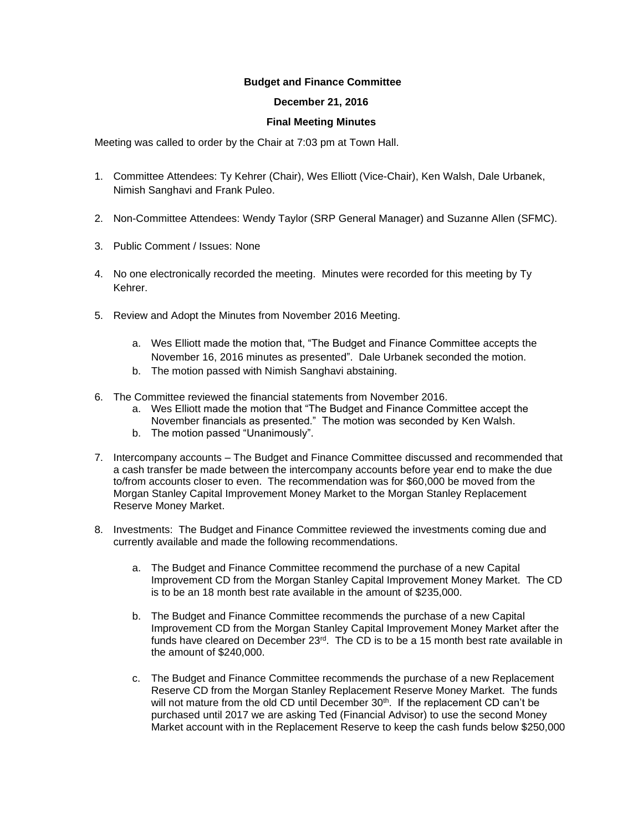## **Budget and Finance Committee**

## **December 21, 2016**

## **Final Meeting Minutes**

Meeting was called to order by the Chair at 7:03 pm at Town Hall.

- 1. Committee Attendees: Ty Kehrer (Chair), Wes Elliott (Vice-Chair), Ken Walsh, Dale Urbanek, Nimish Sanghavi and Frank Puleo.
- 2. Non-Committee Attendees: Wendy Taylor (SRP General Manager) and Suzanne Allen (SFMC).
- 3. Public Comment / Issues: None
- 4. No one electronically recorded the meeting. Minutes were recorded for this meeting by Ty Kehrer.
- 5. Review and Adopt the Minutes from November 2016 Meeting.
	- a. Wes Elliott made the motion that, "The Budget and Finance Committee accepts the November 16, 2016 minutes as presented". Dale Urbanek seconded the motion.
	- b. The motion passed with Nimish Sanghavi abstaining.
- 6. The Committee reviewed the financial statements from November 2016.
	- a. Wes Elliott made the motion that "The Budget and Finance Committee accept the November financials as presented." The motion was seconded by Ken Walsh.
	- b. The motion passed "Unanimously".
- 7. Intercompany accounts The Budget and Finance Committee discussed and recommended that a cash transfer be made between the intercompany accounts before year end to make the due to/from accounts closer to even. The recommendation was for \$60,000 be moved from the Morgan Stanley Capital Improvement Money Market to the Morgan Stanley Replacement Reserve Money Market.
- 8. Investments: The Budget and Finance Committee reviewed the investments coming due and currently available and made the following recommendations.
	- a. The Budget and Finance Committee recommend the purchase of a new Capital Improvement CD from the Morgan Stanley Capital Improvement Money Market. The CD is to be an 18 month best rate available in the amount of \$235,000.
	- b. The Budget and Finance Committee recommends the purchase of a new Capital Improvement CD from the Morgan Stanley Capital Improvement Money Market after the funds have cleared on December  $23<sup>rd</sup>$ . The CD is to be a 15 month best rate available in the amount of \$240,000.
	- c. The Budget and Finance Committee recommends the purchase of a new Replacement Reserve CD from the Morgan Stanley Replacement Reserve Money Market. The funds will not mature from the old CD until December 30<sup>th</sup>. If the replacement CD can't be purchased until 2017 we are asking Ted (Financial Advisor) to use the second Money Market account with in the Replacement Reserve to keep the cash funds below \$250,000